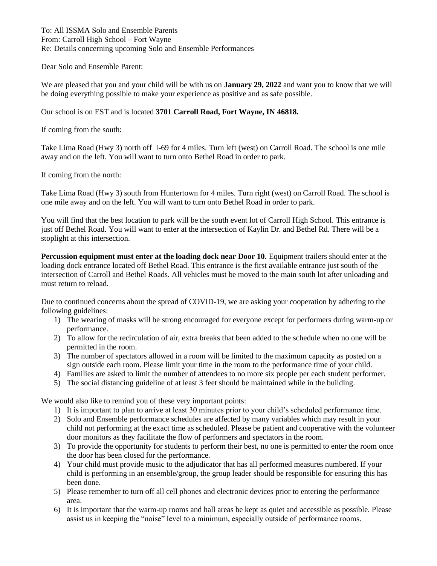To: All ISSMA Solo and Ensemble Parents From: Carroll High School – Fort Wayne Re: Details concerning upcoming Solo and Ensemble Performances

Dear Solo and Ensemble Parent:

We are pleased that you and your child will be with us on **January 29, 2022** and want you to know that we will be doing everything possible to make your experience as positive and as safe possible.

Our school is on EST and is located **3701 Carroll Road, Fort Wayne, IN 46818.**

If coming from the south:

Take Lima Road (Hwy 3) north off I-69 for 4 miles. Turn left (west) on Carroll Road. The school is one mile away and on the left. You will want to turn onto Bethel Road in order to park.

If coming from the north:

Take Lima Road (Hwy 3) south from Huntertown for 4 miles. Turn right (west) on Carroll Road. The school is one mile away and on the left. You will want to turn onto Bethel Road in order to park.

You will find that the best location to park will be the south event lot of Carroll High School. This entrance is just off Bethel Road. You will want to enter at the intersection of Kaylin Dr. and Bethel Rd. There will be a stoplight at this intersection.

**Percussion equipment must enter at the loading dock near Door 10.** Equipment trailers should enter at the loading dock entrance located off Bethel Road. This entrance is the first available entrance just south of the intersection of Carroll and Bethel Roads. All vehicles must be moved to the main south lot after unloading and must return to reload.

Due to continued concerns about the spread of COVID-19, we are asking your cooperation by adhering to the following guidelines:

- 1) The wearing of masks will be strong encouraged for everyone except for performers during warm-up or performance.
- 2) To allow for the recirculation of air, extra breaks that been added to the schedule when no one will be permitted in the room.
- 3) The number of spectators allowed in a room will be limited to the maximum capacity as posted on a sign outside each room. Please limit your time in the room to the performance time of your child.
- 4) Families are asked to limit the number of attendees to no more six people per each student performer.
- 5) The social distancing guideline of at least 3 feet should be maintained while in the building.

We would also like to remind you of these very important points:

- 1) It is important to plan to arrive at least 30 minutes prior to your child's scheduled performance time.
- 2) Solo and Ensemble performance schedules are affected by many variables which may result in your child not performing at the exact time as scheduled. Please be patient and cooperative with the volunteer door monitors as they facilitate the flow of performers and spectators in the room.
- 3) To provide the opportunity for students to perform their best, no one is permitted to enter the room once the door has been closed for the performance.
- 4) Your child must provide music to the adjudicator that has all performed measures numbered. If your child is performing in an ensemble/group, the group leader should be responsible for ensuring this has been done.
- 5) Please remember to turn off all cell phones and electronic devices prior to entering the performance area.
- 6) It is important that the warm-up rooms and hall areas be kept as quiet and accessible as possible. Please assist us in keeping the "noise" level to a minimum, especially outside of performance rooms.